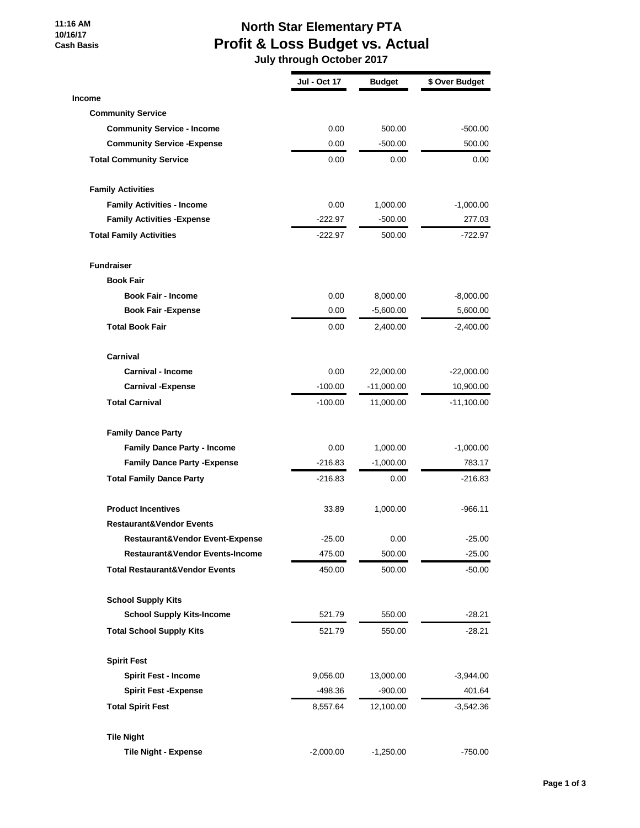#### **11:16 AM 10/16/17 Cash Basis**

# **North Star Elementary PTA Profit & Loss Budget vs. Actual**

 **July through October 2017**

|                                            | <b>Jul - Oct 17</b> | <b>Budget</b> | \$ Over Budget |
|--------------------------------------------|---------------------|---------------|----------------|
| <b>Income</b>                              |                     |               |                |
| <b>Community Service</b>                   |                     |               |                |
| <b>Community Service - Income</b>          | 0.00                | 500.00        | $-500.00$      |
| <b>Community Service - Expense</b>         | 0.00                | $-500.00$     | 500.00         |
| <b>Total Community Service</b>             | 0.00                | 0.00          | 0.00           |
| <b>Family Activities</b>                   |                     |               |                |
| <b>Family Activities - Income</b>          | 0.00                | 1,000.00      | $-1,000.00$    |
| <b>Family Activities - Expense</b>         | $-222.97$           | $-500.00$     | 277.03         |
| <b>Total Family Activities</b>             | $-222.97$           | 500.00        | -722.97        |
| <b>Fundraiser</b>                          |                     |               |                |
| <b>Book Fair</b>                           |                     |               |                |
| <b>Book Fair - Income</b>                  | 0.00                | 8,000.00      | $-8,000.00$    |
| <b>Book Fair - Expense</b>                 | 0.00                | $-5,600.00$   | 5,600.00       |
| <b>Total Book Fair</b>                     | 0.00                | 2,400.00      | $-2,400.00$    |
| Carnival                                   |                     |               |                |
| Carnival - Income                          | 0.00                | 22,000.00     | $-22,000.00$   |
| <b>Carnival -Expense</b>                   | $-100.00$           | $-11,000.00$  | 10,900.00      |
| <b>Total Carnival</b>                      | $-100.00$           | 11,000.00     | -11,100.00     |
| <b>Family Dance Party</b>                  |                     |               |                |
| <b>Family Dance Party - Income</b>         | 0.00                | 1,000.00      | $-1,000.00$    |
| <b>Family Dance Party - Expense</b>        | $-216.83$           | $-1,000.00$   | 783.17         |
| <b>Total Family Dance Party</b>            | $-216.83$           | 0.00          | $-216.83$      |
| <b>Product Incentives</b>                  | 33.89               | 1,000.00      | $-966.11$      |
| <b>Restaurant&amp;Vendor Events</b>        |                     |               |                |
| <b>Restaurant&amp;Vendor Event-Expense</b> | $-25.00$            | 0.00          | $-25.00$       |
| Restaurant&Vendor Events-Income            | 475.00              | 500.00        | $-25.00$       |
| <b>Total Restaurant&amp;Vendor Events</b>  | 450.00              | 500.00        | $-50.00$       |
| <b>School Supply Kits</b>                  |                     |               |                |
| <b>School Supply Kits-Income</b>           | 521.79              | 550.00        | $-28.21$       |
| <b>Total School Supply Kits</b>            | 521.79              | 550.00        | $-28.21$       |
| <b>Spirit Fest</b>                         |                     |               |                |
| <b>Spirit Fest - Income</b>                | 9,056.00            | 13,000.00     | $-3,944.00$    |
| <b>Spirit Fest -Expense</b>                | -498.36             | $-900.00$     | 401.64         |
| <b>Total Spirit Fest</b>                   | 8,557.64            | 12,100.00     | -3,542.36      |
| <b>Tile Night</b>                          |                     |               |                |
| <b>Tile Night - Expense</b>                | $-2,000.00$         | $-1,250.00$   | $-750.00$      |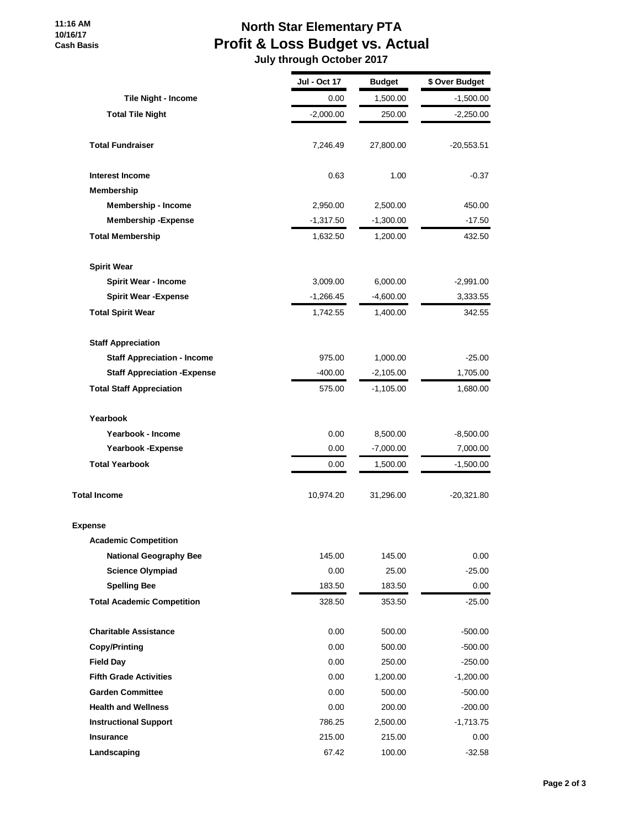# **North Star Elementary PTA Profit & Loss Budget vs. Actual**

 **July through October 2017**

|                                     | Jul - Oct 17 | <b>Budget</b> | \$ Over Budget |
|-------------------------------------|--------------|---------------|----------------|
| Tile Night - Income                 | 0.00         | 1,500.00      | $-1,500.00$    |
| <b>Total Tile Night</b>             | $-2,000.00$  | 250.00        | $-2,250.00$    |
| <b>Total Fundraiser</b>             | 7,246.49     | 27,800.00     | $-20,553.51$   |
| <b>Interest Income</b>              | 0.63         | 1.00          | $-0.37$        |
| Membership                          |              |               |                |
| Membership - Income                 | 2,950.00     | 2,500.00      | 450.00         |
| <b>Membership - Expense</b>         | $-1,317.50$  | $-1,300.00$   | $-17.50$       |
| <b>Total Membership</b>             | 1,632.50     | 1,200.00      | 432.50         |
| <b>Spirit Wear</b>                  |              |               |                |
| <b>Spirit Wear - Income</b>         | 3,009.00     | 6,000.00      | $-2,991.00$    |
| <b>Spirit Wear - Expense</b>        | $-1,266.45$  | $-4,600.00$   | 3,333.55       |
| <b>Total Spirit Wear</b>            | 1,742.55     | 1,400.00      | 342.55         |
| <b>Staff Appreciation</b>           |              |               |                |
| <b>Staff Appreciation - Income</b>  | 975.00       | 1,000.00      | $-25.00$       |
| <b>Staff Appreciation - Expense</b> | $-400.00$    | $-2,105.00$   | 1,705.00       |
| <b>Total Staff Appreciation</b>     | 575.00       | $-1,105.00$   | 1,680.00       |
| Yearbook                            |              |               |                |
| Yearbook - Income                   | 0.00         | 8,500.00      | $-8,500.00$    |
| Yearbook - Expense                  | 0.00         | $-7,000.00$   | 7,000.00       |
| <b>Total Yearbook</b>               | 0.00         | 1,500.00      | $-1,500.00$    |
| <b>Total Income</b>                 | 10,974.20    | 31,296.00     | -20,321.80     |
| <b>Expense</b>                      |              |               |                |
| <b>Academic Competition</b>         |              |               |                |
| <b>National Geography Bee</b>       | 145.00       | 145.00        | 0.00           |
| <b>Science Olympiad</b>             | 0.00         | 25.00         | $-25.00$       |
| <b>Spelling Bee</b>                 | 183.50       | 183.50        | 0.00           |
| <b>Total Academic Competition</b>   | 328.50       | 353.50        | $-25.00$       |
| <b>Charitable Assistance</b>        | 0.00         | 500.00        | $-500.00$      |
| <b>Copy/Printing</b>                | 0.00         | 500.00        | $-500.00$      |
| <b>Field Day</b>                    | 0.00         | 250.00        | $-250.00$      |
| <b>Fifth Grade Activities</b>       | 0.00         | 1,200.00      | $-1,200.00$    |
| <b>Garden Committee</b>             | 0.00         | 500.00        | $-500.00$      |
| <b>Health and Wellness</b>          | 0.00         | 200.00        | $-200.00$      |
| <b>Instructional Support</b>        | 786.25       | 2,500.00      | $-1,713.75$    |
| <b>Insurance</b>                    | 215.00       | 215.00        | 0.00           |
| Landscaping                         | 67.42        | 100.00        | $-32.58$       |